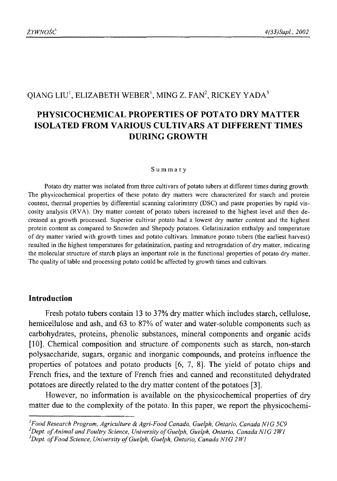# QIANG LIU<sup>1</sup>, ELIZABETH WEBER<sup>1</sup>, MING Z. FAN<sup>2</sup>, RICKEY YADA<sup>3</sup>

# **PHYSICOCHEMICAL PROPERTIES OF POTATO DRY MATTER ISOLATED FROM VARIOUS CULTIVARS AT DIFFERENT TIMES DURING GROWTH**

#### Summary

Potato dry matter was isolated from three cultivars of potato tubers at different times during growth. The physicochemical properties of these potato dry matters were characterized for starch and protein content, thermal properties by differential scanning calorimtery (DSC) and paste properties by rapid viscosity analysis (RVA). Dry matter content of potato tubers increased to the highest level and then decreased as growth processed. Superior cultivar potato had a lowest dry matter content and the highest protein content as compared to Snowden and Shepody potatoes. Gelatinization enthalpy and temperature of dry matter varied with growth times and potato cultivars. Immature potato tubers (the earliest harvest) resulted in the highest temperatures for gelatinization, pasting and retrogradation of dry matter, indicating the molecular structure of starch plays an important role in the functional properties of potato dry matter. The quality of table and processing potato could be affected by growth times and cultivars.

### **Introduction**

Fresh potato tubers contain 13 to 37% dry matter which includes starch, cellulose, hemicellulose and ash, and 63 to 87% of water and water-soluble components such as carbohydrates, proteins, phenolic substances, mineral components and organic acids [10]. Chemical composition and structure of components such as starch, non-starch polysaccharide, sugars, organic and inorganic compounds, and proteins influence the properties of potatoes and potato products [6, 7, 8]. The yield of potato chips and French fries, and the texture of French fries and canned and reconstituted dehydrated potatoes are directly related to the dry matter content of the potatoes [3].

However, no information is available on the physicochemical properties of dry matter due to the complexity of the potato. In this paper, we report the physicochemi-

*<sup>1</sup> Food Research Program, Agriculture & Agri-Food Canada, Guelph, Ontario, Canada NIG 5C9* <sup>2</sup>Dept. of Animal and Poultry Science, University of Guelph, Guelph, Ontario, Canada N1G 2W1

<sup>&</sup>lt;sup>3</sup>Dept. of Food Science, University of Guelph, Guelph, Ontario, Canada NIG 2W1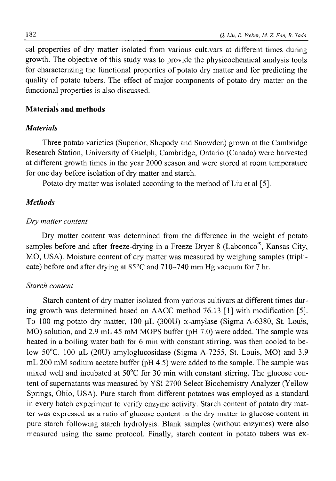cal properties of dry matter isolated from various cultivars at different times during growth. The objective of this study was to provide the physicochemical analysis tools for characterizing the functional properties of potato dry matter and for predicting the quality of potato tubers. The effect of major components of potato dry matter on the functional properties is also discussed.

### **Materials and methods**

#### *Materials*

Three potato varieties (Superior, Shepody and Snowden) grown at the Cambridge Research Station, University of Guelph, Cambridge, Ontario (Canada) were harvested at different growth times in the year 2000 season and were stored at room temperature for one day before isolation of dry matter and starch.

Potato dry matter was isolated according to the method of Liu et al [5].

### *Methods*

#### *Dry matter content*

Dry matter content was determined from the difference in the weight of potato samples before and after freeze-drying in a Freeze Dryer 8 (Labconco®, Kansas City, MO, USA). Moisture content of dry matter was measured by weighing samples (triplicate) before and after drying at 85°C and 710-740 mm Hg vacuum for 7 hr.

### *Starch content*

Starch content of dry matter isolated from various cultivars at different times during growth was determined based on AACC method 76.13 [1] with modification [5]. To 100 mg potato dry matter, 100  $\mu$ L (300U)  $\alpha$ -amylase (Sigma A-6380, St. Louis, MO) solution, and 2.9 mL 45 mM MOPS buffer (pH 7.0) were added. The sample was heated in a boiling water bath for 6 min with constant stirring, was then cooled to below 50°C. 100 pL (20U) amyloglucosidase (Sigma A-7255, St. Louis, MO) and 3.9 mL 200 mM sodium acetate buffer (pH 4.5) were added to the sample. The sample was mixed well and incubated at 50°C for 30 min with constant stirring. The glucose content of supernatants was measured by YSI 2700 Select Biochemistry Analyzer (Yellow Springs, Ohio, USA). Pure starch from different potatoes was employed as a standard in every batch experiment to verify enzyme activity. Starch content of potato dry matter was expressed as a ratio of glucose content in the dry matter to glucose content in pure starch following starch hydrolysis. Blank samples (without enzymes) were also measured using the same protocol. Finally, starch content in potato tubers was ex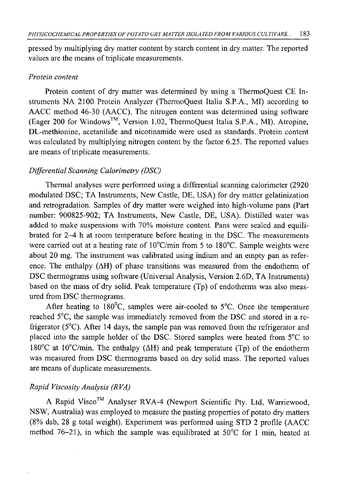pressed by multiplying dry matter content by starch content in dry matter. The reported values are the means of triplicate measurements.

### *Protein content*

Protein content of dry matter was determined by using a ThermoQuest CE Instruments NA 2100 Protein Analyzer (ThermoQuest Italia S.P.A., MI) according to AACC method 46-30 (AACC). The nitrogen content was determined using software (Eager 200 for Windows™, Version 1.02, ThermoQuest Italia S.P.A., MI). Atropine, DL-methionine, acetanilide and nicotinamide were used as standards. Protein content was calculated by multiplying nitrogen content by the factor 6.25. The reported values are means of triplicate measurements.

## *Differential Scanning Calorimetry (DSC)*

Thermal analyses were performed using a differential scanning calorimeter (2920 modulated DSC; TA Instruments, New Castle, DE, USA) for dry matter gelatinization and retrogradation. Samples of dry matter were weighed into high-volume pans (Part number: 900825-902; TA Instruments, New Castle, DE, USA). Distilled water was added to make suspensions with 70% moisture content. Pans were sealed and equilibrated for 2-4 h at room temperature before heating in the DSC. The measurements were carried out at a heating rate of 10°C/min from 5 to 180°C. Sample weights were about 20 mg. The instrument was calibrated using indium and an empty pan as reference. The enthalpy  $(\Delta H)$  of phase transitions was measured from the endotherm of DSC thermograms using software (Universal Analysis, Version 2.6D, TA Instruments) based on the mass of dry solid. Peak temperature (Tp) of endotherms was also measured from DSC thermograms.

After heating to  $180^{\circ}$ C, samples were air-cooled to 5 $^{\circ}$ C. Once the temperature reached 5°C, the sample was immediately removed from the DSC and stored in a refrigerator (5°C). After 14 days, the sample pan was removed from the refrigerator and placed into the sample holder of the DSC. Stored samples were heated from 5°C to 180 $^{\circ}$ C at 10 $^{\circ}$ C/min. The enthalpy ( $\Delta$ H) and peak temperature (Tp) of the endotherm was measured from DSC thermograms based on dry solid mass. The reported values are means of duplicate measurements.

# *Rapid Viscosity Analysis (RVA)*

A Rapid Visco™ Analyser RVA-4 (Newport Scientific Pty. Ltd, Warriewood, NSW, Australia) was employed to measure the pasting properties of potato dry matters (8% dsb, 28 g total weight). Experiment was performed using STD 2 profile (AACC method 76-21), in which the sample was equilibrated at  $50^{\circ}$ C for 1 min, heated at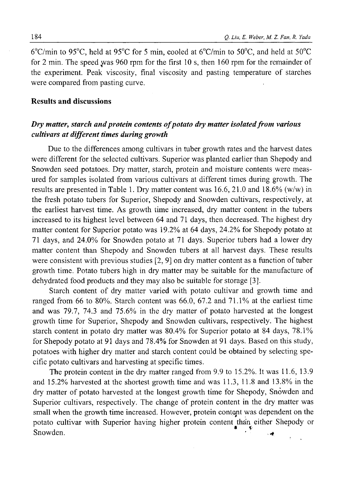6°C/min to 95°C, held at 95°C for 5 min, cooled at 6°C/min to 50°C, and held at 50°C for 2 min. The speed was 960 rpm for the first 10 s, then 160 rpm for the remainder of the experiment. Peak viscosity, final viscosity and pasting temperature of starches were compared from pasting curve.

### **Results and discussions**

# *Dry matter, starch and protein contents of potato dry matter isolated from various cultivars at different times during growth*

Due to the differences among cultivars in tuber growth rates and the harvest dates were different for the selected cultivars. Superior was planted earlier than Shepody and Snowden seed potatoes. Dry matter, starch, protein and moisture contents were measured for samples isolated from various cultivars at different times during growth. The results are presented in Table 1. Dry matter content was 16.6, 21.0 and 18.6% (w/w) in the fresh potato tubers for Superior, Shepody and Snowden cultivars, respectively, at the earliest harvest time. As growth time increased, dry matter content in the tubers increased to its highest level between 64 and 71 days, then decreased. The highest dry matter content for Superior potato was 19.2% at 64 days, 24.2%) for Shepody potato at 71 days, and 24.0% for Snowden potato at 71 days. Superior tubers had a lower dry matter content than Shepody and Snowden tubers at all harvest days. These results were consistent with previous studies [2, 9] on dry matter content as a function of tuber growth time. Potato tubers high in dry matter may be suitable for the manufacture of dehydrated food products and they may also be suitable for storage [3].

Starch content of dry matter varied with potato cultivar and growth time and ranged from 66 to 80%. Starch content was 66.0, 67.2 and 71.1% at the earliest time and was 79.7, 74.3 and 75.6% in the dry matter of potato harvested at the longest growth time for Superior, Shepody and Snowden cultivars, respectively. The highest starch content in potato dry matter was 80.4% for Superior potato at 84 days, 78.1% for Shepody potato at 91 days and 78.4% for Snowden at 91 days. Based on this study, potatoes with higher dry matter and starch content could be obtained by selecting specific potato cultivars and harvesting at specific times.

The protein content in the dry matter ranged from 9.9 to 15.2%. It was 11.6, 13.9 and 15.2%) harvested at the shortest growth time and was 11.3, 11.8 and 13.8% in the dry matter of potato harvested at the longest growth time for Shepody, Snowden and Superior cultivars, respectively. The change of protein content in the dry matter was small when the growth time increased. However, protein content was dependent on the potato cultivar with Superior having higher protein content ^than either Shepody or Snowden.  $\blacksquare$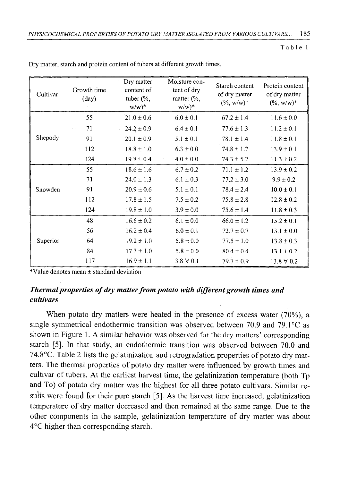Table 1

| Cultivar | Growth time<br>$\text{(day)}$ | Dry matter<br>content of<br>tuber $(\%$ ,<br>$w/w)^*$ | Moisture con-<br>tent of dry<br>matter $\frac{6}{6}$ ,<br>$w/w)^*$ | Starch content<br>of dry matter<br>$(\% , w/w)^*$ | Protein content<br>of dry matter<br>$(\% , w/w)^*$ |
|----------|-------------------------------|-------------------------------------------------------|--------------------------------------------------------------------|---------------------------------------------------|----------------------------------------------------|
|          | 55                            | $21.0 \pm 0.6$                                        | $6.0 \pm 0.1$                                                      | $67.2 \pm 1.4$                                    | $11.6 \pm 0.0$                                     |
| Shepody  | 71                            | $24.2 \pm 0.9$                                        | $6.4 \pm 0.1$                                                      | $77.6 \pm 1.3$                                    | $11.2 \pm 0.1$                                     |
|          | 91                            | $20.1 \pm 0.9$                                        | $5.1 \pm 0.1$                                                      | $78.1 \pm 1.4$                                    | $11.8 \pm 0.1$                                     |
|          | 112                           | $18.8 \pm 1.0$                                        | $6.3 \pm 0.0$                                                      | $74.8 \pm 1.7$                                    | $13.9 \pm 0.1$                                     |
|          | 124                           | $19.8 \pm 0.4$                                        | $4.0 \pm 0.0$                                                      | $74.3 \pm 5.2$                                    | $11.3 \pm 0.2$                                     |
| Snowden  | 55                            | $18.6 \pm 1.6$                                        | $6.7 \pm 0.2$                                                      | $71.1 \pm 1.2$                                    | $13.9 \pm 0.2$                                     |
|          | 71                            | $24.0 \pm 1.3$                                        | $6.1 \pm 0.3$                                                      | $77.2 \pm 3.0$                                    | $9.9 \pm 0.2$                                      |
|          | 91                            | $20.9 \pm 0.6$                                        | $5.1 \pm 0.1$                                                      | $78.4 \pm 2.4$                                    | $10.0 \pm 0.1$                                     |
|          | 112                           | $17.8 \pm 1.5$                                        | $7.5 \pm 0.2$                                                      | $75.8 \pm 2.8$                                    | $12.8 \pm 0.2$                                     |
|          | 124                           | $19.8 \pm 1.0$                                        | $3.9 \pm 0.0$                                                      | $75.6 \pm 1.4$                                    | $11.8 \pm 0.3$                                     |
| Superior | 48                            | $16.6 \pm 0.2$                                        | $6.1 \pm 0.0$                                                      | $66.0 \pm 1.2$                                    | $15.2 \pm 0.1$                                     |
|          | 56                            | $16.2 \pm 0.4$                                        | $6.0 \pm 0.1$                                                      | $72.7 \pm 0.7$                                    | $13.1 \pm 0.0$                                     |
|          | 64                            | $19.2 \pm 1.0$                                        | $5.8 \pm 0.0$                                                      | $77.5 \pm 1.0$                                    | $13.8 \pm 0.3$                                     |
|          | 84                            | $17.3 \pm 1.0$                                        | $5.8 \pm 0.0$                                                      | $80.4 \pm 0.4$                                    | $13.1 \pm 0.2$                                     |
|          | 117                           | $16.9 \pm 1.1$                                        | $3.8 \forall 0.1$                                                  | $79.7 \pm 0.9$                                    | $13.8 \forall 0.2$                                 |

Dry matter, starch and protein content of tubers at different growth times.

\* Value denotes mean ± standard deviation

## *Thermal properties of dry matter from potato with different growth times and cultivars*

When potato dry matters were heated in the presence of excess water (70%), a single symmetrical endothermic transition was observed between 70.9 and 79.1°C as shown in Figure 1. A similar behavior was observed for the dry matters' corresponding starch [5]. In that study, an endothermic transition was observed between 70.0 and 74.8°C. Table 2 lists the gelatinization and retrogradation properties of potato dry matters. The thermal properties of potato dry matter were influenced by growth times and cultivar of tubers. At the earliest harvest time, the gelatinization temperature (both Tp and To) of potato dry matter was the highest for all three potato cultivars. Similar results were found for their pure starch [5]. As the harvest time increased, gelatinization temperature of dry matter decreased and then remained at the same range. Due to the other components in the sample, gelatinization temperature of dry matter was about 4°C higher than corresponding starch.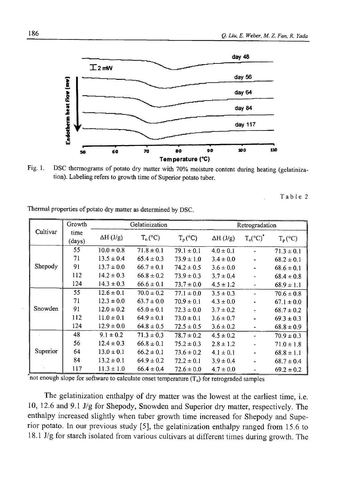

Fig. 1. DSC thermograms of potato dry matter with 70% moisture content during heating (gelatinization). Labeling refers to growth time of Superior potato tuber.

Table 2

|          | Growth         | Gelatinization   |                |                  | Retrogradation   |                    |                  |
|----------|----------------|------------------|----------------|------------------|------------------|--------------------|------------------|
| Cultivar | time<br>(days) | $\Delta H$ (J/g) | $T_{o}$ (°C)   | $T_p(^{\circ}C)$ | $\Delta H$ (J/g) | $T_o(^{\circ}C)^*$ | $T_p(^{\circ}C)$ |
| Shepody  | 55             | $10.0 \pm 0.8$   | $71.8 \pm 0.1$ | $79.1 \pm 0.1$   | $4.0 \pm 0.1$    |                    | $71.3 \pm 0.1$   |
|          | 71             | $13.5 \pm 0.4$   | $65.4 \pm 0.3$ | $73.9 \pm 1.0$   | $3.4 \pm 0.0$    |                    | $68.2 \pm 0.1$   |
|          | 91             | $13.7 \pm 0.0$   | $66.7 \pm 0.1$ | $74.2 \pm 0.5$   | $3.6 \pm 0.0$    |                    | $68.6 \pm 0.1$   |
|          | 112            | $14.2 \pm 0.3$   | $66.8 \pm 0.2$ | $73.9 \pm 0.3$   | $3.7 \pm 0.4$    |                    | $68.4 \pm 0.8$   |
|          | 124            | $14.3 \pm 0.3$   | $66.6 \pm 0.1$ | $73.7 \pm 0.0$   | $4.5 \pm 1.2$    |                    | $68.9 \pm 1.1$   |
| Snowden  | 55             | $12.6 \pm 0.1$   | $70.0 \pm 0.2$ | $77.1 \pm 0.0$   | $3.5 \pm 0.3$    |                    | $70.6 \pm 0.8$   |
|          | 71             | $12.3 \pm 0.0$   | $63.7 \pm 0.0$ | $70.9 \pm 0.1$   | $4.3 \pm 0.0$    |                    | $67.1 \pm 0.0$   |
|          | 91             | $12.0 \pm 0.2$   | $65.0 \pm 0.1$ | $72.3 \pm 0.0$   | $3.7 \pm 0.2$    |                    | $68.7 \pm 0.2$   |
|          | 112            | $11.0 \pm 0.1$   | $64.9 \pm 0.1$ | $73.0 \pm 0.1$   | $3.6 \pm 0.7$    |                    | $69.3 \pm 0.3$   |
|          | 124            | $12.9 \pm 0.0$   | $64.8 \pm 0.5$ | $72.5 \pm 0.5$   | $3.6 \pm 0.2$    |                    | $68.8 \pm 0.9$   |
| Superior | 48             | $9.1 \pm 0.2$    | $71.3 \pm 0.3$ | $78.7 \pm 0.2$   | $4.5 \pm 0.2$    |                    | $70.9 \pm 0.3$   |
|          | 56             | $12.4 \pm 0.3$   | $66.8 \pm 0.1$ | $75.2 \pm 0.3$   | $2.8 \pm 1.2$    |                    | $71.0 \pm 1.8$   |
|          | 64             | $13.0 \pm 0.1$   | $66.2 \pm 0.1$ | $73.6 \pm 0.2$   | $4.1 \pm 0.1$    | -                  | $68.8 \pm 1.1$   |
|          | 84             | $13.2 \pm 0.1$   | $64.9 \pm 0.2$ | $72.2 \pm 0.1$   | $3.9 \pm 0.4$    | ۰.                 | $68.7 \pm 0.4$   |
|          | 117            | $11.3 \pm 1.0$   | $66.4 \pm 0.4$ | $72.6 \pm 0.0$   | $4.7 \pm 0.0$    |                    | $69.2 \pm 0.2$   |

Thermal properties of potato dry matter as determined by DSC.

not enough slope for software to calculate onset temperature  $(T_0)$  for retrograded samples

The gelatinization enthalpy of dry matter was the lowest at the earliest time, i.e. 10, 12.6 and 9.1 J/g for Shepody, Snowden and Superior dry matter, respectively. The enthalpy increased slightly when tuber growth time increased for Shepody and Superior potato. In our previous study [5], the gelatinization enthalpy ranged from 15.6 to 18.1 J/g for starch isolated from various cultivars at different times during growth. The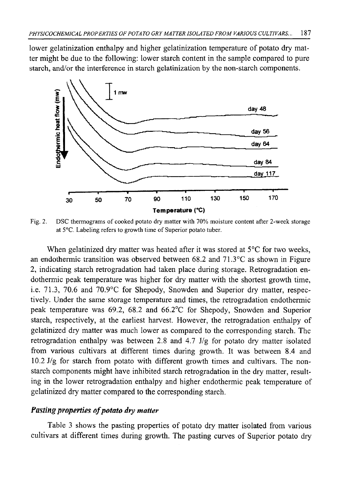lower gelatinization enthalpy and higher gelatinization temperature of potato dry matter might be due to the following: lower starch content in the sample compared to pure starch, and/or the interference in starch gelatinization by the non-starch components.



Fig. 2. DSC thermograms of cooked potato dry matter with 70% moisture content after 2-week storage at 5°C. Labeling refers to growth time of Superior potato tuber.

When gelatinized dry matter was heated after it was stored at 5<sup>o</sup>C for two weeks, an endothermic transition was observed between 68.2 and 71.3°C as shown in Figure 2, indicating starch retrogradation had taken place during storage. Retrogradation endothermic peak temperature was higher for dry matter with the shortest growth time, i.e. 71.3, 70.6 and 70.9°C for Shepody, Snowden and Superior dry matter, respectively. Under the same storage temperature and times, the retrogradation endothermic peak temperature was 69.2, 68.2 and 66.2°C for Shepody, Snowden and Superior starch, respectively, at the earliest harvest. However, the retrogradation enthalpy of gelatinized dry matter was much lower as compared to the corresponding starch. The retrogradation enthalpy was between 2.8 and 4.7 J/g for potato dry matter isolated from various cultivars at different times during growth. It was between 8.4 and 10.2 J/g for starch from potato with different growth times and cultivars. The nonstarch components might have inhibited starch retrogradation in the dry matter, resulting in the lower retrogradation enthalpy and higher endothermic peak temperature of gelatinized dry matter compared to the corresponding starch.

# *Pasting properties of potato dry matter*

Table 3 shows the pasting properties of potato dry matter isolated from various cultivars at different times during growth. The pasting curves of Superior potato dry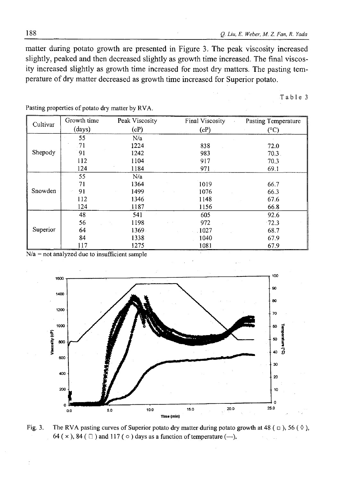matter during potato growth are presented in Figure 3. The peak viscosity increased slightly, peaked and then decreased slightly as growth time increased. The final viscosity increased slightly as growth time increased for most dry matters. The pasting temperature of dry matter decreased as growth time increased for Superior potato.

Table 3

| Cultivar | Growth time | Peak Viscosity | Final Viscosity<br>$\epsilon$ | Pasting Temperature |
|----------|-------------|----------------|-------------------------------|---------------------|
|          | (days)      | (cP)           | (cP)                          | (°C)                |
| Shepody  | 55          | N/a            |                               |                     |
|          | -71         | 1224           | 838                           | 72.0                |
|          | 91          | 1242           | 983                           | $70.3$ .            |
|          | 112         | 1104           | 917                           | 70.3                |
|          | 124         | 1184           | 971                           | 69.1                |
| Snowden  | 55          | N/a            |                               |                     |
|          | 71          | 1364           | 1019                          | 66.7                |
|          | 91          | 1499           | 1076                          | 66.3                |
|          | 112         | 1346           | 1148                          | 67.6                |
|          | 124         | 1187           | 1156                          | 66.8                |
| Superior | 48          | 541            | 605                           | 92.6                |
|          | 56          | 1198           | 972                           | $-72.3$             |
|          | 64          | 1369.          | .1027                         | 68.7                |
|          | 84          | 1338           | 1040                          | 67.9                |
|          | 117         | 1275           | 1081                          | 67.9                |

Pasting properties of potato dry matter by RVA.

 $N/a$  = not analyzed due to insufficient sample



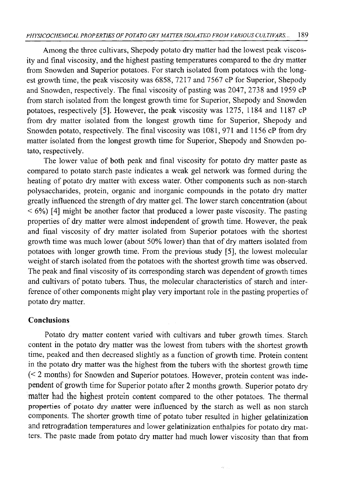Among the three cultivars, Shepody potato dry matter had the lowest peak viscosity and final viscosity, and the highest pasting temperatures compared to the dry matter from Snowden and Superior potatoes. For starch isolated from potatoes with the longest growth time, the peak viscosity was 6858, 7217 and 7567 cP for Superior, Shepody and Snowden, respectively. The final viscosity of pasting was 2047, 2738 and 1959 cP from starch isolated from the longest growth time for Superior, Shepody and Snowden potatoes, respectively [5]. However, the peak viscosity was 1275, 1184 and 1187 cP from dry matter isolated from the longest growth time for Superior, Shepody and Snowden potato, respectively. The final viscosity was 1081, 971 and 1156 cP from dry matter isolated from the longest growth time for Superior, Shepody and Snowden potato, respectively.

The lower value of both peak and final viscosity for potato dry matter paste as compared to potato starch paste indicates a weak gel network was formed during the heating of potato dry matter with excess water. Other components such as non-starch polysaccharides, protein, organic and inorganic compounds in the potato dry matter greatly influenced the strength of dry matter gel. The lower starch concentration (about  $<$  6%) [4] might be another factor that produced a lower paste viscosity. The pasting properties of dry matter were almost independent of growth time. However, the peak and final viscosity of dry matter isolated from Superior potatoes with the shortest growth time was much lower (about 50% lower) than that of dry matters isolated from potatoes with longer growth time. From the previous study [5], the lowest molecular weight of starch isolated from the potatoes with the shortest growth time was observed. The peak and final viscosity of its corresponding starch was dependent of growth times and cultivars of potato tubers. Thus, the molecular characteristics of starch and interference of other components might play very important role in the pasting properties of potato dry matter.

### **Conclusions**

Potato dry matter content varied with cultivars and tuber growth times. Starch content in the potato dry matter was the lowest from tubers with the shortest growth time, peaked and then decreased slightly as a function of growth time. Protein content in the potato dry matter was the highest from the tubers with the shortest growth time (< 2 months) for Snowden and Superior potatoes. However, protein content was independent of growth time for Superior potato after 2 months growth. Superior potato dry **matter had the** highest protein content compared to the other potatoes. The thermal **properties** of potato dry matter were influenced by the starch as well as non starch components. The shorter growth time of potato tuber resulted in higher gelatinization and retrogradation temperatures and lower gelatinization enthalpies for potato dry matters. The paste made from potato dry matter had much lower viscosity than that from

w